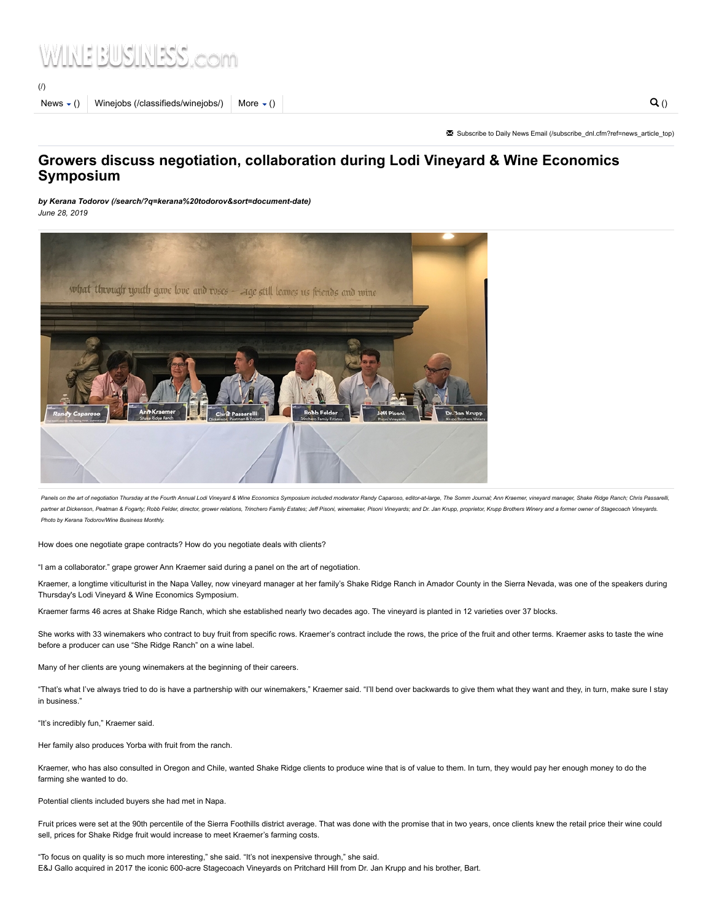# INEBUSINISS com

[\(/\)](https://www.winebusiness.com/)

News  $\langle$  () [Winejobs \(/classifieds/winejobs/\)](https://www.winebusiness.com/classifieds/winejobs/) More  $\langle$  ()  $\rangle$  [More \(\)](https://www.winebusiness.com/news/?go=getArticle&dataId=216053)  $\langle$  ()

✉ Subscribe to Daily News Email [\(/subscribe\\_dnl.cfm?ref=news\\_article\\_top\)](https://www.winebusiness.com/subscribe_dnl.cfm?ref=news_article_top)

## Growers discuss negotiation, collaboration during Lodi Vineyard & Wine Economics Symposium

by [Kerana Todorov \(/search/?q=kerana%20todorov&sort=document-date\)](https://www.winebusiness.com/search/?q=kerana%20todorov&sort=document-date) June 28, 2019



Panels on the art of negotiation Thursday at the Fourth Annual Lodi Vineyard & Wine Economics Symposium included moderator Randy Caparoso, editor-at-large, The Somm Journal; Ann Kraemer, vineyard manager, Shake Ridge Ranch partner at Dickenson, Peatman & Fogarty; Robb Felder, director, grower relations, Trinchero Family Estates; Jeff Pisoni, winemaker, Pisoni Vineyards; and Dr. Jan Krupp, proprietor, Krupp Brothers Winey and a former owner o Photo by Kerana Todorov/Wine Business Monthly.

How does one negotiate grape contracts? How do you negotiate deals with clients?

"I am a collaborator." grape grower Ann Kraemer said during a panel on the art of negotiation.

Kraemer, a longtime viticulturist in the Napa Valley, now vineyard manager at her family's Shake Ridge Ranch in Amador County in the Sierra Nevada, was one of the speakers during Thursday's Lodi Vineyard & Wine Economics Symposium.

Kraemer farms 46 acres at Shake Ridge Ranch, which she established nearly two decades ago. The vineyard is planted in 12 varieties over 37 blocks.

She works with 33 winemakers who contract to buy fruit from specific rows. Kraemer's contract include the rows, the price of the fruit and other terms. Kraemer asks to taste the wine before a producer can use "She Ridge Ranch" on a wine label.

Many of her clients are young winemakers at the beginning of their careers.

"That's what I've always tried to do is have a partnership with our winemakers," Kraemer said. "I'll bend over backwards to give them what they want and they, in turn, make sure I stay in business."

"It's incredibly fun," Kraemer said.

Her family also produces Yorba with fruit from the ranch.

Kraemer, who has also consulted in Oregon and Chile, wanted Shake Ridge clients to produce wine that is of value to them. In turn, they would pay her enough money to do the farming she wanted to do.

Potential clients included buyers she had met in Napa.

Fruit prices were set at the 90th percentile of the Sierra Foothills district average. That was done with the promise that in two years, once clients knew the retail price their wine could sell, prices for Shake Ridge fruit would increase to meet Kraemer's farming costs.

"To focus on quality is so much more interesting," she said. "It's not inexpensive through," she said. E&J Gallo acquired in 2017 the iconic 600-acre Stagecoach Vineyards on Pritchard Hill from Dr. Jan Krupp and his brother, Bart.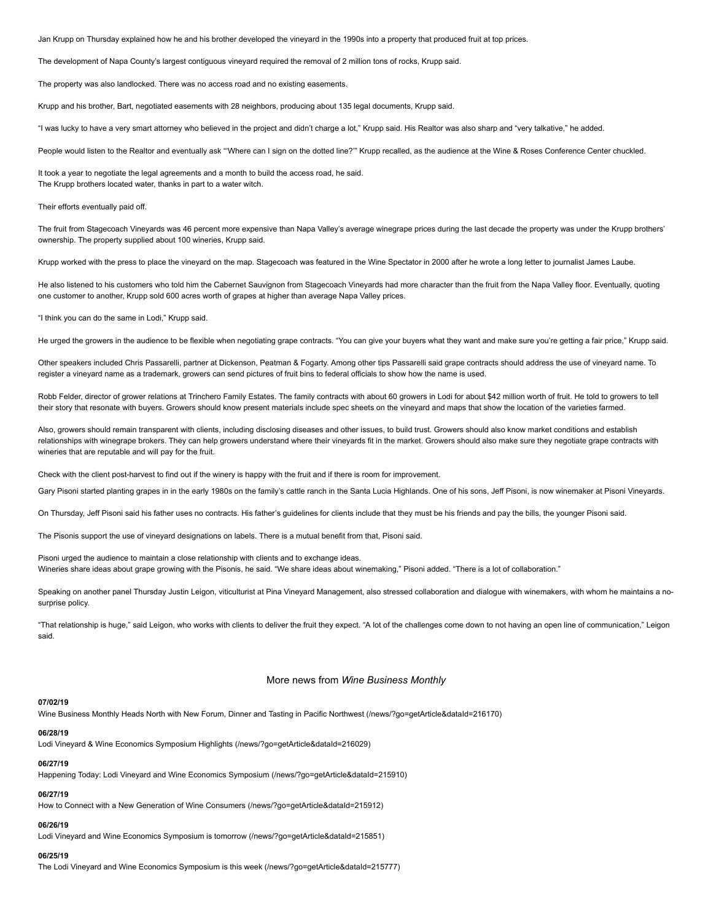Jan Krupp on Thursday explained how he and his brother developed the vineyard in the 1990s into a property that produced fruit at top prices.

The development of Napa County's largest contiguous vineyard required the removal of 2 million tons of rocks, Krupp said.

The property was also landlocked. There was no access road and no existing easements.

Krupp and his brother, Bart, negotiated easements with 28 neighbors, producing about 135 legal documents, Krupp said.

"I was lucky to have a very smart attorney who believed in the project and didn't charge a lot," Krupp said. His Realtor was also sharp and "very talkative," he added.

People would listen to the Realtor and eventually ask "'Where can I sign on the dotted line?" Krupp recalled, as the audience at the Wine & Roses Conference Center chuckled.

It took a year to negotiate the legal agreements and a month to build the access road, he said. The Krupp brothers located water, thanks in part to a water witch.

#### Their efforts eventually paid off.

The fruit from Stagecoach Vineyards was 46 percent more expensive than Napa Valley's average winegrape prices during the last decade the property was under the Krupp brothers' ownership. The property supplied about 100 wineries, Krupp said.

Krupp worked with the press to place the vineyard on the map. Stagecoach was featured in the Wine Spectator in 2000 after he wrote a long letter to journalist James Laube.

He also listened to his customers who told him the Cabernet Sauvignon from Stagecoach Vineyards had more character than the fruit from the Napa Valley floor. Eventually, quoting one customer to another, Krupp sold 600 acres worth of grapes at higher than average Napa Valley prices.

"I think you can do the same in Lodi," Krupp said.

He urged the growers in the audience to be flexible when negotiating grape contracts. "You can give your buyers what they want and make sure you're getting a fair price," Krupp said.

Other speakers included Chris Passarelli, partner at Dickenson, Peatman & Fogarty. Among other tips Passarelli said grape contracts should address the use of vineyard name. To register a vineyard name as a trademark, growers can send pictures of fruit bins to federal officials to show how the name is used.

Robb Felder, director of grower relations at Trinchero Family Estates. The family contracts with about 60 growers in Lodi for about \$42 million worth of fruit. He told to growers to tell their story that resonate with buyers. Growers should know present materials include spec sheets on the vineyard and maps that show the location of the varieties farmed.

Also, growers should remain transparent with clients, including disclosing diseases and other issues, to build trust. Growers should also know market conditions and establish relationships with winegrape brokers. They can help growers understand where their vineyards fit in the market. Growers should also make sure they negotiate grape contracts with wineries that are reputable and will pay for the fruit.

Check with the client post-harvest to find out if the winery is happy with the fruit and if there is room for improvement.

Gary Pisoni started planting grapes in in the early 1980s on the family's cattle ranch in the Santa Lucia Highlands. One of his sons, Jeff Pisoni, is now winemaker at Pisoni Vineyards.

On Thursday, Jeff Pisoni said his father uses no contracts. His father's guidelines for clients include that they must be his friends and pay the bills, the younger Pisoni said.

The Pisonis support the use of vineyard designations on labels. There is a mutual benefit from that, Pisoni said.

Pisoni urged the audience to maintain a close relationship with clients and to exchange ideas. Wineries share ideas about grape growing with the Pisonis, he said. "We share ideas about winemaking," Pisoni added. "There is a lot of collaboration."

Speaking on another panel Thursday Justin Leigon, viticulturist at Pina Vineyard Management, also stressed collaboration and dialogue with winemakers, with whom he maintains a nosurprise policy.

"That relationship is huge," said Leigon, who works with clients to deliver the fruit they expect. "A lot of the challenges come down to not having an open line of communication," Leigon said.

#### More news from Wine Business Monthly

#### 07/02/19

[Wine Business Monthly Heads North with New Forum, Dinner and Tasting in Pacific Northwest \(/news/?go=getArticle&dataId=216170\)](https://www.winebusiness.com/news/?go=getArticle&dataId=216170)

#### 06/28/19

[Lodi Vineyard & Wine Economics Symposium Highlights \(/news/?go=getArticle&dataId=216029\)](https://www.winebusiness.com/news/?go=getArticle&dataId=216029)

## 06/27/19

[Happening Today: Lodi Vineyard and Wine Economics Symposium \(/news/?go=getArticle&dataId=215910\)](https://www.winebusiness.com/news/?go=getArticle&dataId=215910)

#### 06/27/19

[How to Connect with a New Generation of Wine Consumers \(/news/?go=getArticle&dataId=215912\)](https://www.winebusiness.com/news/?go=getArticle&dataId=215912)

#### 06/26/19

[Lodi Vineyard and Wine Economics Symposium is tomorrow \(/news/?go=getArticle&dataId=215851\)](https://www.winebusiness.com/news/?go=getArticle&dataId=215851)

#### 06/25/19

[The Lodi Vineyard and Wine Economics Symposium is this week \(/news/?go=getArticle&dataId=215777\)](https://www.winebusiness.com/news/?go=getArticle&dataId=215777)